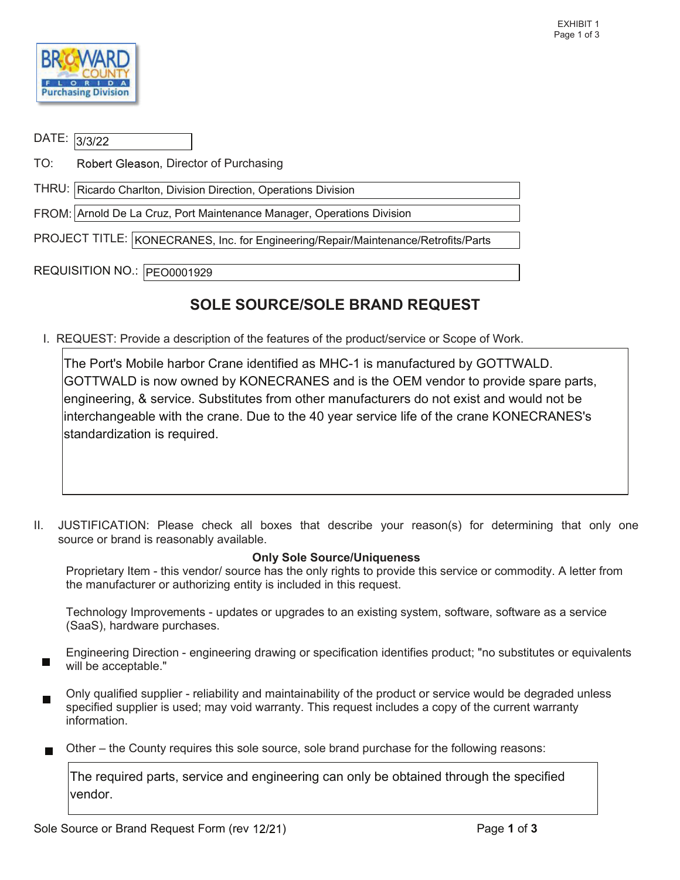

| DATE: 3/3/22                                                                       |                                                                        |  |  |  |
|------------------------------------------------------------------------------------|------------------------------------------------------------------------|--|--|--|
| TO:                                                                                | Robert Gleason, Director of Purchasing                                 |  |  |  |
| THRU:   Ricardo Charlton, Division Direction, Operations Division                  |                                                                        |  |  |  |
|                                                                                    | FROM: Arnold De La Cruz, Port Maintenance Manager, Operations Division |  |  |  |
| PROJECT TITLE: KONECRANES, Inc. for Engineering/Repair/Maintenance/Retrofits/Parts |                                                                        |  |  |  |
|                                                                                    | REQUISITION NO.:  PEO0001929                                           |  |  |  |

## SOLE SOURCE/SOLE BRAND REQUEST

I. REQUEST: Provide a description of the features of the product/service or Scope of Work.

The Port's Mobile harbor Crane identified as MHC-1 is manufactured by GOTTWALD. GOTTWALD is now owned by KONECRANES and is the OEM vendor to provide spare parts, engineering, & service. Substitutes from other manufacturers do not exist and would not be interchangeable with the crane. Due to the 40 year service life of the crane KONECRANES's standardization is required.

II. JUSTIFICATION: Please check all boxes that describe your reason(s) for determining that only one source or brand is reasonably available.

## Only Sole Source/Uniqueness

Proprietary Item - this vendor/ source has the only rights to provide this service or commodity. A letter from the manufacturer or authorizing entity is included in this request.

Technology Improvements - updates or upgrades to an existing system, software, software as a service (SaaS), hardware purchases.

- Engineering Direction engineering drawing or specification identifies product; "no substitutes or equivalents will be acceptable."
- Only qualified supplier reliability and maintainability of the product or service would be degraded unless specified supplier is used; may void warranty. This request includes a copy of the current warranty information.
- Other the County requires this sole source, sole brand purchase for the following reasons:

The required parts, service and engineering can only be obtained through the specified vendor.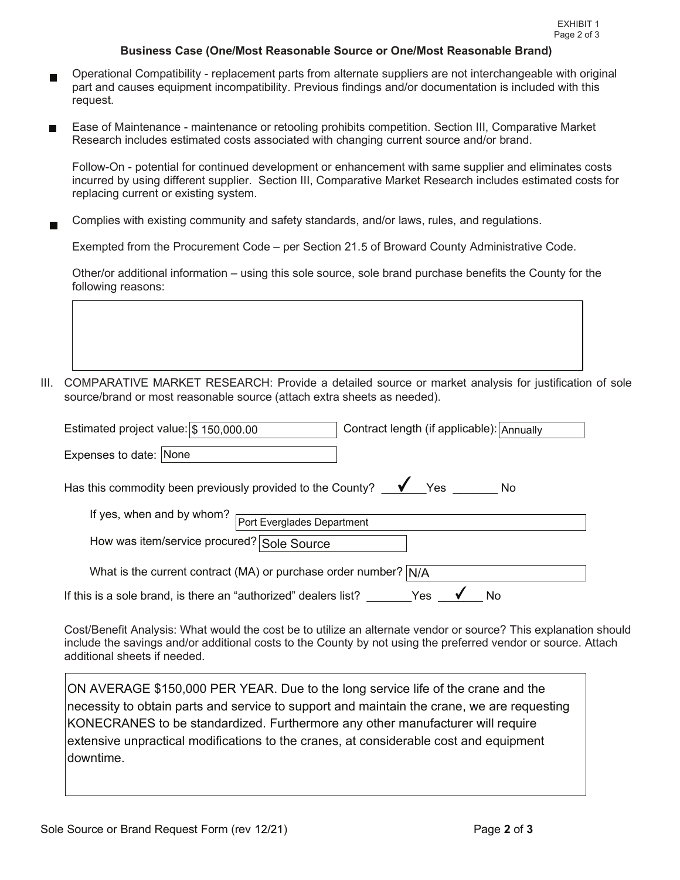## Business Case (One/Most Reasonable Source or One/Most Reasonable Brand)

- Operational Compatibility replacement parts from alternate suppliers are not interchangeable with original part and causes equipment incompatibility. Previous findings and/or documentation is included with this request.
- request.<br>Ease of Maintenance maintenance or retooling prohibits competition. Section III, Comparative Market Research includes estimated costs associated with changing current source and/or brand.

 Follow-On - potential for continued development or enhancement with same supplier and eliminates costs incurred by using different supplier. Section III, Comparative Market Research includes estimated costs for replacing current or existing system.

Complies with existing community and safety standards, and/or laws, rules, and regulations.

Exempted from the Procurement Code – per Section 21.5 of Broward County Administrative Code.

 Other/or additional information – using this sole source, sole brand purchase benefits the County for the following reasons:

III. COMPARATIVE MARKET RESEARCH: Provide a detailed source or market analysis for justification of sole source/brand or most reasonable source (attach extra sheets as needed).

| Estimated project value: \$ 150,000.00                                                    | Contract length (if applicable): Annually |  |  |  |  |  |  |
|-------------------------------------------------------------------------------------------|-------------------------------------------|--|--|--|--|--|--|
| Expenses to date: None                                                                    |                                           |  |  |  |  |  |  |
| Has this commodity been previously provided to the County? $\blacktriangledown$ Yes<br>No |                                           |  |  |  |  |  |  |
| If yes, when and by whom?                                                                 | Port Everglades Department                |  |  |  |  |  |  |
| How was item/service procured? Sole Source                                                |                                           |  |  |  |  |  |  |
| What is the current contract (MA) or purchase order number? N/A                           |                                           |  |  |  |  |  |  |
| If this is a sole brand, is there an "authorized" dealers list?                           | Yes                                       |  |  |  |  |  |  |

 additional sheets if needed. Cost/Benefit Analysis: What would the cost be to utilize an alternate vendor or source? This explanation should include the savings and/or additional costs to the County by not using the preferred vendor or source. Attach

ON AVERAGE \$150,000 PER YEAR. Due to the long service life of the crane and the necessity to obtain parts and service to support and maintain the crane, we are requesting KONECRANES to be standardized. Furthermore any other manufacturer will require extensive unpractical modifications to the cranes, at considerable cost and equipment downtime.